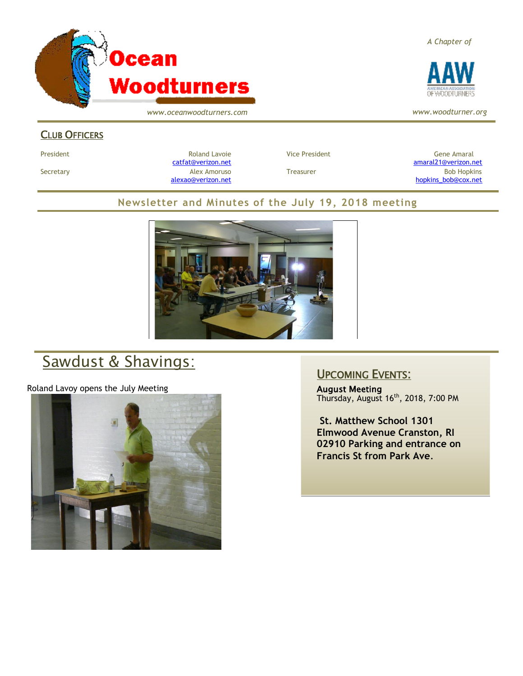

*www.oceanwoodturners.com*

#### CLUB OFFICERS

President Chronical Communication Chronical Roland Lavoie Chronic Vice President Chronic Chronic Gene Amaral [catfat@verizon.net](file:///C:/Users/OTEC/Desktop/OW/catfat@verizon.net) [amaral21@verizon.net](mailto:amaral21@verizon.net) Secretary Alex Amoruso Treasurer Bob Hopkins [alexao@verizon.net](mailto:alexao@verizon.net) [hopkins\\_bob@cox.net](mailto:hopkins_bob@cox.net)

#### **Newsletter and Minutes of the July 19, 2018 meeting**



# Sawdust & Shavings:

Roland Lavoy opens the July Meeting



### UPCOMING EVENTS:

August Meeting Thursday, August 16<sup>th</sup>, 2018, 7:00 PM

**St. Matthew School 1301 Elmwood Avenue Cranston, RI 02910 Parking and entrance on Francis St from Park Ave**.

*A Chapter of*



*www.woodturner.org*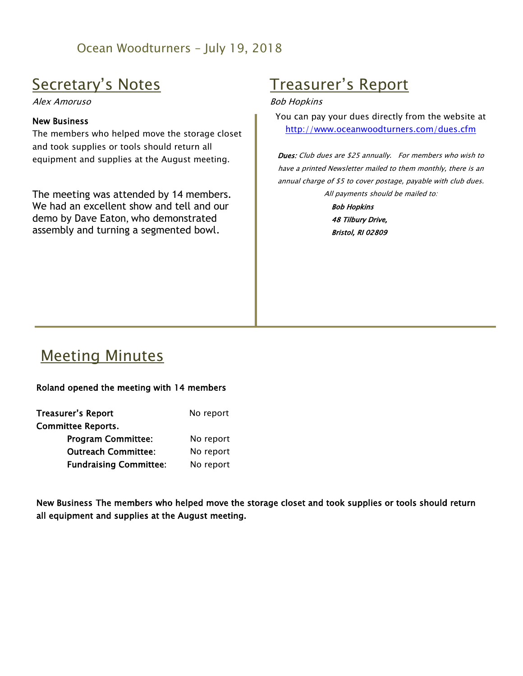## Ocean Woodturners – July 19, 2018

## Secretary's Notes

Alex Amoruso

#### New Business

The members who helped move the storage closet and took supplies or tools should return all equipment and supplies at the August meeting.

The meeting was attended by 14 members. We had an excellent show and tell and our demo by Dave Eaton, who demonstrated assembly and turning a segmented bowl.

# Treasurer's Report

#### Bob Hopkins

You can pay your dues directly from the website at <http://www.oceanwoodturners.com/dues.cfm>

Dues: Club dues are \$25 annually. For members who wish to have a printed Newsletter mailed to them monthly, there is an annual charge of \$5 to cover postage, payable with club dues. All payments should be mailed to:

> Bob Hopkins 48 Tilbury Drive, Bristol, RI 02809

## Meeting Minutes

#### Roland opened the meeting with 14 members

| <b>Treasurer's Report</b>     | No report |
|-------------------------------|-----------|
| <b>Committee Reports.</b>     |           |
| <b>Program Committee:</b>     | No report |
| <b>Outreach Committee:</b>    | No report |
| <b>Fundraising Committee:</b> | No report |

New Business The members who helped move the storage closet and took supplies or tools should return all equipment and supplies at the August meeting.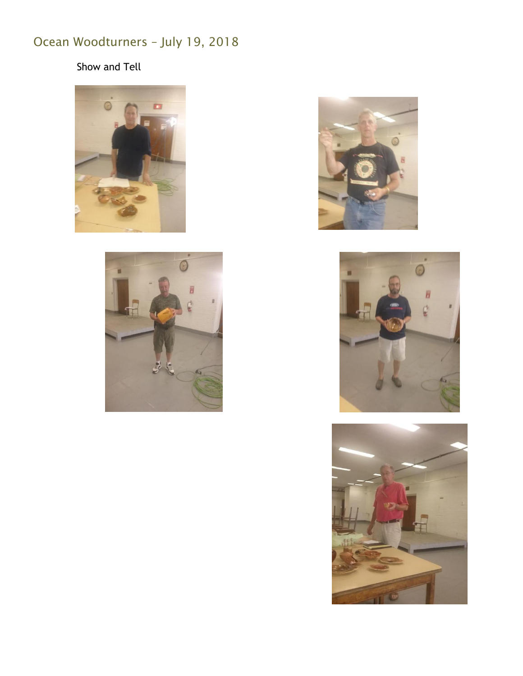# Ocean Woodturners – July 19, 2018

## Show and Tell